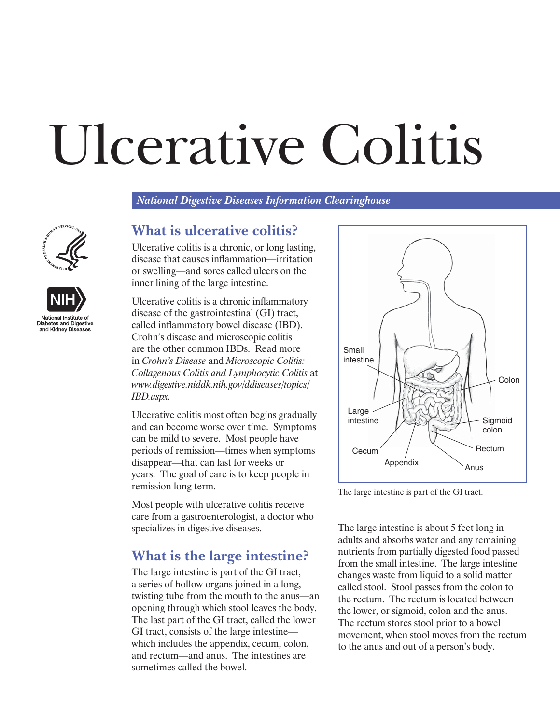# Ulcerative Colitis

*National Digestive Diseases Information Clearinghouse*



National Institute of Diabetes and Digestive<br>and Kidney Diseases

# **What is ulcerative colitis?**

Ulcerative colitis is a chronic, or long lasting, disease that causes inflammation—irritation or swelling—and sores called ulcers on the inner lining of the large intestine.

Ulcerative colitis is a chronic inflammatory disease of the gastrointestinal (GI) tract, called inflammatory bowel disease (IBD). Crohn's disease and microscopic colitis are the other common IBDs. Read more in *Crohn's Disease* and *Microscopic Colitis: Collagenous Colitis and Lymphocytic Colitis* at *www.digestive.niddk.nih.gov/ddiseases/topics/ IBD.aspx.*

Ulcerative colitis most often begins gradually and can become worse over time. Symptoms can be mild to severe. Most people have periods of remission—times when symptoms disappear—that can last for weeks or years. The goal of care is to keep people in remission long term.

Most people with ulcerative colitis receive care from a gastroenterologist, a doctor who specializes in digestive diseases.

# **What is the large intestine?**

The large intestine is part of the GI tract, a series of hollow organs joined in a long, twisting tube from the mouth to the anus—an opening through which stool leaves the body. The last part of the GI tract, called the lower GI tract, consists of the large intestine which includes the appendix, cecum, colon, and rectum—and anus. The intestines are sometimes called the bowel.



The large intestine is part of the GI tract.

The large intestine is about 5 feet long in adults and absorbs water and any remaining nutrients from partially digested food passed from the small intestine. The large intestine changes waste from liquid to a solid matter called stool. Stool passes from the colon to the rectum. The rectum is located between the lower, or sigmoid, colon and the anus. The rectum stores stool prior to a bowel movement, when stool moves from the rectum to the anus and out of a person's body.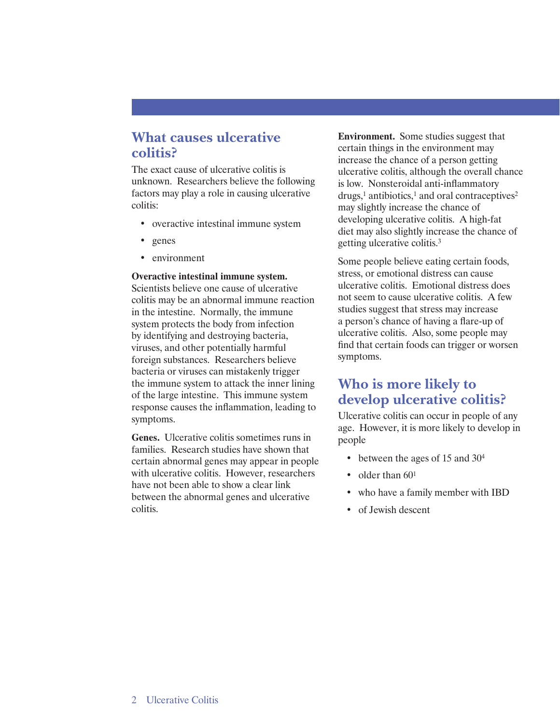## **What causes ulcerative colitis?**

The exact cause of ulcerative colitis is unknown. Researchers believe the following factors may play a role in causing ulcerative colitis:

- overactive intestinal immune system
- genes
- environment

#### **Overactive intestinal immune system.**

Scientists believe one cause of ulcerative colitis may be an abnormal immune reaction in the intestine. Normally, the immune system protects the body from infection by identifying and destroying bacteria, viruses, and other potentially harmful foreign substances. Researchers believe bacteria or viruses can mistakenly trigger the immune system to attack the inner lining of the large intestine. This immune system response causes the inflammation, leading to symptoms.

**Genes.** Ulcerative colitis sometimes runs in families. Research studies have shown that certain abnormal genes may appear in people with ulcerative colitis. However, researchers have not been able to show a clear link between the abnormal genes and ulcerative colitis.

**Environment.** Some studies suggest that certain things in the environment may increase the chance of a person getting ulcerative colitis, although the overall chance is low. Nonsteroidal anti-inflammatory drugs, $<sup>1</sup>$  antibiotics, $<sup>1</sup>$  and oral contraceptives<sup>2</sup></sup></sup> may slightly increase the chance of developing ulcerative colitis. A high-fat diet may also slightly increase the chance of getting ulcerative colitis.3

Some people believe eating certain foods, stress, or emotional distress can cause ulcerative colitis. Emotional distress does not seem to cause ulcerative colitis. A few studies suggest that stress may increase a person's chance of having a flare-up of ulcerative colitis. Also, some people may find that certain foods can trigger or worsen symptoms.

## **Who is more likely to develop ulcerative colitis?**

Ulcerative colitis can occur in people of any age. However, it is more likely to develop in people

- between the ages of 15 and  $30<sup>4</sup>$
- older than  $60<sup>1</sup>$
- who have a family member with IBD
- of Jewish descent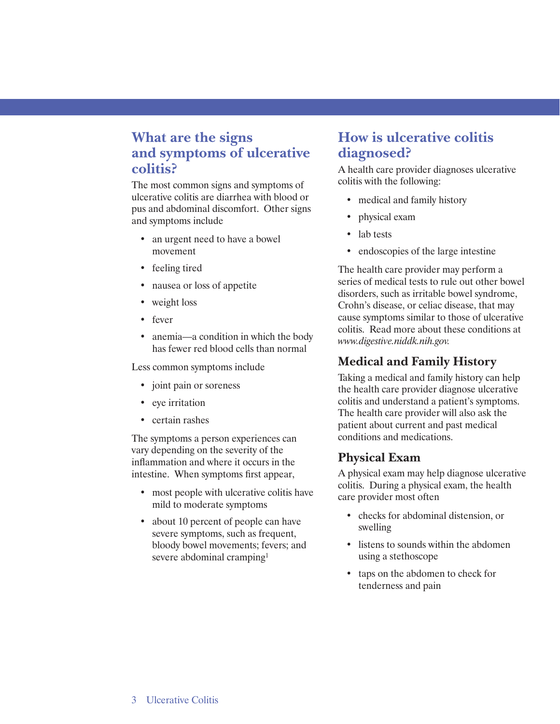## **What are the signs and symptoms of ulcerative colitis?**

The most common signs and symptoms of ulcerative colitis are diarrhea with blood or pus and abdominal discomfort. Other signs and symptoms include

- an urgent need to have a bowel movement
- feeling tired
- nausea or loss of appetite
- weight loss
- fever
- anemia—a condition in which the body has fewer red blood cells than normal

Less common symptoms include

- joint pain or soreness
- eye irritation
- certain rashes

The symptoms a person experiences can vary depending on the severity of the inflammation and where it occurs in the intestine. When symptoms first appear,

- most people with ulcerative colitis have mild to moderate symptoms
- about 10 percent of people can have severe symptoms, such as frequent, bloody bowel movements; fevers; and severe abdominal cramping<sup>1</sup>

# **How is ulcerative colitis diagnosed?**

A health care provider diagnoses ulcerative colitis with the following:

- medical and family history
- physical exam
- lab tests
- endoscopies of the large intestine

The health care provider may perform a series of medical tests to rule out other bowel disorders, such as irritable bowel syndrome, Crohn's disease, or celiac disease, that may cause symptoms similar to those of ulcerative colitis. Read more about these conditions at *www.digestive.niddk.nih.gov.*

## **Medical and Family History**

Taking a medical and family history can help the health care provider diagnose ulcerative colitis and understand a patient's symptoms. The health care provider will also ask the patient about current and past medical conditions and medications.

## **Physical Exam**

A physical exam may help diagnose ulcerative colitis. During a physical exam, the health care provider most often

- checks for abdominal distension, or swelling
- listens to sounds within the abdomen using a stethoscope
- taps on the abdomen to check for tenderness and pain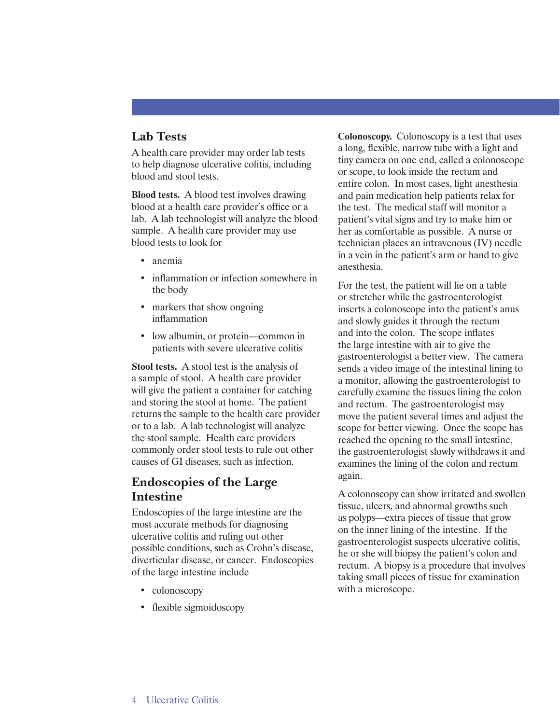## **Lab Tests**

A health care provider may order lab tests to help diagnose ulcerative colitis, including blood and stool tests.

**Blood tests.** A blood test involves drawing blood at a health care provider's office or a lab. A lab technologist will analyze the blood sample. A health care provider may use blood tests to look for

- anemia
- inflammation or infection somewhere in the body
- markers that show ongoing inflammation
- low albumin, or protein—common in patients with severe ulcerative colitis

**Stool tests.** A stool test is the analysis of a sample of stool. A health care provider will give the patient a container for catching and storing the stool at home. The patient returns the sample to the health care provider or to a lab. A lab technologist will analyze the stool sample. Health care providers commonly order stool tests to rule out other causes of GI diseases, such as infection.

## **Endoscopies of the Large Intestine**

Endoscopies of the large intestine are the most accurate methods for diagnosing ulcerative colitis and ruling out other possible conditions, such as Crohn's disease, diverticular disease, or cancer. Endoscopies of the large intestine include

- colonoscopy
- flexible sigmoidoscopy

**Colonoscopy.** Colonoscopy is a test that uses a long, flexible, narrow tube with a light and tiny camera on one end, called a colonoscope or scope, to look inside the rectum and entire colon. In most cases, light anesthesia and pain medication help patients relax for the test. The medical staff will monitor a patient's vital signs and try to make him or her as comfortable as possible. A nurse or technician places an intravenous (IV) needle in a vein in the patient's arm or hand to give anesthesia.

For the test, the patient will lie on a table or stretcher while the gastroenterologist inserts a colonoscope into the patient's anus and slowly guides it through the rectum and into the colon. The scope inflates the large intestine with air to give the gastroenterologist a better view. The camera sends a video image of the intestinal lining to a monitor, allowing the gastroenterologist to carefully examine the tissues lining the colon and rectum. The gastroenterologist may move the patient several times and adjust the scope for better viewing. Once the scope has reached the opening to the small intestine, the gastroenterologist slowly withdraws it and examines the lining of the colon and rectum again.

A colonoscopy can show irritated and swollen tissue, ulcers, and abnormal growths such as polyps––extra pieces of tissue that grow on the inner lining of the intestine. If the gastroenterologist suspects ulcerative colitis, he or she will biopsy the patient's colon and rectum. A biopsy is a procedure that involves taking small pieces of tissue for examination with a microscope.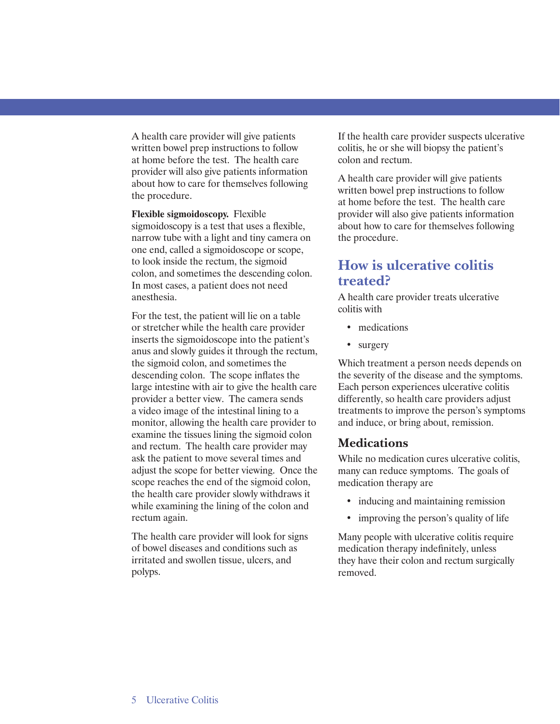A health care provider will give patients written bowel prep instructions to follow at home before the test. The health care provider will also give patients information about how to care for themselves following the procedure.

**Flexible sigmoidoscopy.** Flexible sigmoidoscopy is a test that uses a flexible, narrow tube with a light and tiny camera on one end, called a sigmoidoscope or scope, to look inside the rectum, the sigmoid colon, and sometimes the descending colon. In most cases, a patient does not need anesthesia.

For the test, the patient will lie on a table or stretcher while the health care provider inserts the sigmoidoscope into the patient's anus and slowly guides it through the rectum, the sigmoid colon, and sometimes the descending colon. The scope inflates the large intestine with air to give the health care provider a better view. The camera sends a video image of the intestinal lining to a monitor, allowing the health care provider to examine the tissues lining the sigmoid colon and rectum. The health care provider may ask the patient to move several times and adjust the scope for better viewing. Once the scope reaches the end of the sigmoid colon, the health care provider slowly withdraws it while examining the lining of the colon and rectum again.

The health care provider will look for signs of bowel diseases and conditions such as irritated and swollen tissue, ulcers, and polyps.

If the health care provider suspects ulcerative colitis, he or she will biopsy the patient's colon and rectum.

A health care provider will give patients written bowel prep instructions to follow at home before the test. The health care provider will also give patients information about how to care for themselves following the procedure.

# **How is ulcerative colitis treated?**

A health care provider treats ulcerative colitis with

- medications
- surgery

Which treatment a person needs depends on the severity of the disease and the symptoms. Each person experiences ulcerative colitis differently, so health care providers adjust treatments to improve the person's symptoms and induce, or bring about, remission.

## **Medications**

While no medication cures ulcerative colitis, many can reduce symptoms. The goals of medication therapy are

- inducing and maintaining remission
- improving the person's quality of life

Many people with ulcerative colitis require medication therapy indefinitely, unless they have their colon and rectum surgically removed.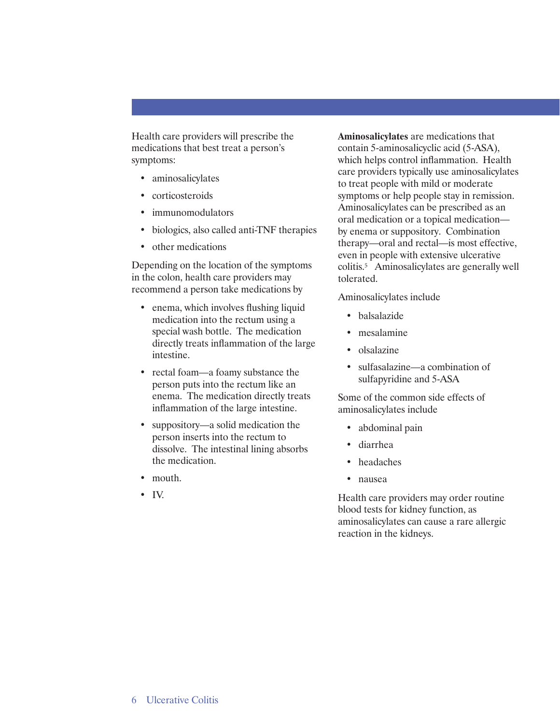Health care providers will prescribe the medications that best treat a person's symptoms:

- aminosalicylates
- corticosteroids
- immunomodulators
- biologics, also called anti-TNF therapies
- other medications

Depending on the location of the symptoms in the colon, health care providers may recommend a person take medications by

- enema, which involves flushing liquid medication into the rectum using a special wash bottle. The medication directly treats inflammation of the large intestine.
- rectal foam—a foamy substance the person puts into the rectum like an enema. The medication directly treats inflammation of the large intestine.
- suppository—a solid medication the person inserts into the rectum to dissolve. The intestinal lining absorbs the medication.
- mouth.
- $\bullet$  IV.

**Aminosalicylates** are medications that contain 5-aminosalicyclic acid (5-ASA), which helps control inflammation. Health care providers typically use aminosalicylates to treat people with mild or moderate symptoms or help people stay in remission. Aminosalicylates can be prescribed as an oral medication or a topical medication by enema or suppository. Combination therapy—oral and rectal—is most effective, even in people with extensive ulcerative colitis.<sup>5</sup> Aminosalicylates are generally well tolerated.

Aminosalicylates include

- balsalazide
- mesalamine
- olsalazine
- sulfasalazine—a combination of sulfapyridine and 5-ASA

Some of the common side effects of aminosalicylates include

- abdominal pain
- diarrhea
- headaches
- nausea

Health care providers may order routine blood tests for kidney function, as aminosalicylates can cause a rare allergic reaction in the kidneys.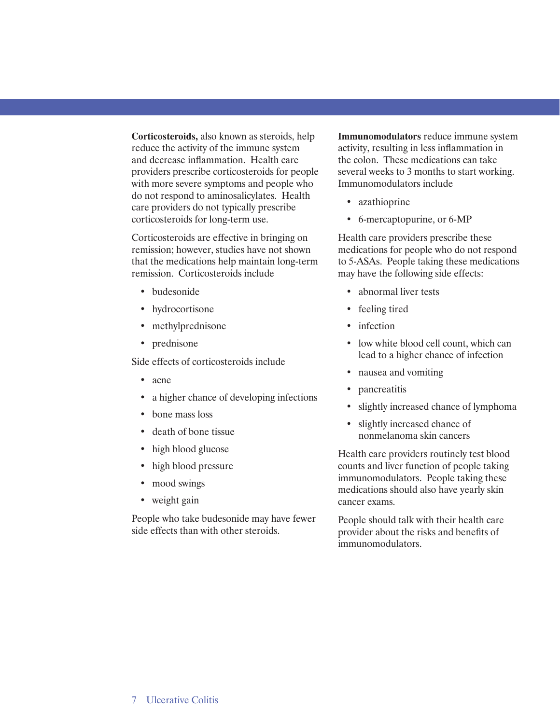**Corticosteroids,** also known as steroids, help reduce the activity of the immune system and decrease inflammation. Health care providers prescribe corticosteroids for people with more severe symptoms and people who do not respond to aminosalicylates. Health care providers do not typically prescribe corticosteroids for long-term use.

Corticosteroids are effective in bringing on remission; however, studies have not shown that the medications help maintain long-term remission. Corticosteroids include

- budesonide
- hydrocortisone
- methylprednisone
- prednisone

Side effects of corticosteroids include

- acne
- a higher chance of developing infections
- bone mass loss
- death of bone tissue
- high blood glucose
- high blood pressure
- mood swings
- weight gain

People who take budesonide may have fewer side effects than with other steroids.

**Immunomodulators** reduce immune system activity, resulting in less inflammation in the colon. These medications can take several weeks to 3 months to start working. Immunomodulators include

- azathioprine
- 6-mercaptopurine, or 6-MP

Health care providers prescribe these medications for people who do not respond to 5-ASAs. People taking these medications may have the following side effects:

- abnormal liver tests
- feeling tired
- $\cdot$  infection
- low white blood cell count, which can lead to a higher chance of infection
- nausea and vomiting
- pancreatitis
- slightly increased chance of lymphoma
- slightly increased chance of nonmelanoma skin cancers

Health care providers routinely test blood counts and liver function of people taking immunomodulators. People taking these medications should also have yearly skin cancer exams.

People should talk with their health care provider about the risks and benefits of immunomodulators.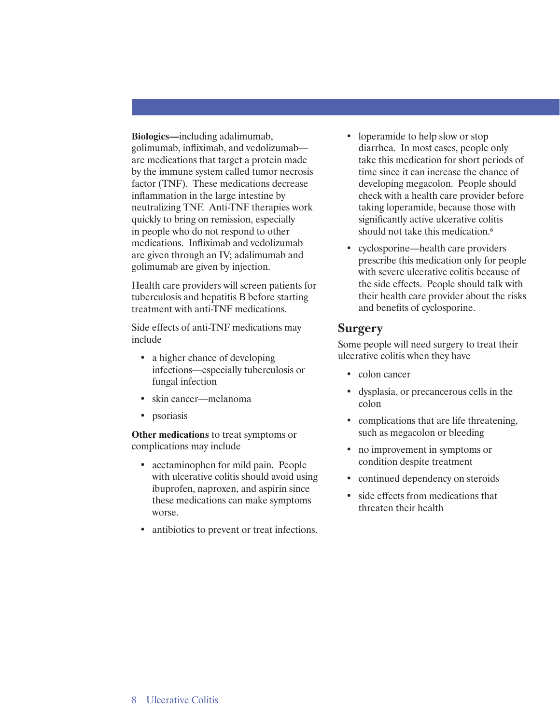**Biologics—**including adalimumab, golimumab, infliximab, and vedolizumab are medications that target a protein made by the immune system called tumor necrosis factor (TNF). These medications decrease inflammation in the large intestine by neutralizing TNF. Anti-TNF therapies work quickly to bring on remission, especially in people who do not respond to other medications. Infliximab and vedolizumab are given through an IV; adalimumab and golimumab are given by injection.

Health care providers will screen patients for tuberculosis and hepatitis B before starting treatment with anti-TNF medications.

Side effects of anti-TNF medications may include

- a higher chance of developing infections—especially tuberculosis or fungal infection
- skin cancer—melanoma
- psoriasis

**Other medications** to treat symptoms or complications may include

- acetaminophen for mild pain. People with ulcerative colitis should avoid using ibuprofen, naproxen, and aspirin since these medications can make symptoms worse.
- antibiotics to prevent or treat infections.
- loperamide to help slow or stop diarrhea. In most cases, people only take this medication for short periods of time since it can increase the chance of developing megacolon. People should check with a health care provider before taking loperamide, because those with significantly active ulcerative colitis should not take this medication.<sup>6</sup>
- cyclosporine—health care providers prescribe this medication only for people with severe ulcerative colitis because of the side effects. People should talk with their health care provider about the risks and benefits of cyclosporine.

### **Surgery**

Some people will need surgery to treat their ulcerative colitis when they have

- $\bullet$  colon cancer
- dysplasia, or precancerous cells in the colon
- complications that are life threatening, such as megacolon or bleeding
- no improvement in symptoms or condition despite treatment
- continued dependency on steroids
- side effects from medications that threaten their health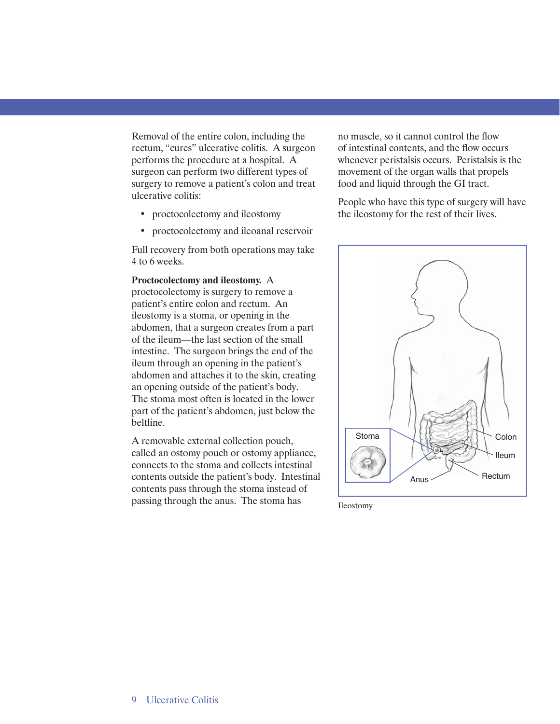Removal of the entire colon, including the rectum, "cures" ulcerative colitis. A surgeon performs the procedure at a hospital. A surgeon can perform two different types of surgery to remove a patient's colon and treat ulcerative colitis:

- proctocolectomy and ileostomy
- proctocolectomy and ileoanal reservoir

Full recovery from both operations may take 4 to 6 weeks.

#### **Proctocolectomy and ileostomy.** A

proctocolectomy is surgery to remove a patient's entire colon and rectum. An ileostomy is a stoma, or opening in the abdomen, that a surgeon creates from a part of the ileum—the last section of the small intestine. The surgeon brings the end of the ileum through an opening in the patient's abdomen and attaches it to the skin, creating an opening outside of the patient's body. The stoma most often is located in the lower part of the patient's abdomen, just below the beltline.

A removable external collection pouch, called an ostomy pouch or ostomy appliance, connects to the stoma and collects intestinal contents outside the patient's body. Intestinal contents pass through the stoma instead of passing through the anus. The stoma has

no muscle, so it cannot control the flow of intestinal contents, and the flow occurs whenever peristalsis occurs. Peristalsis is the movement of the organ walls that propels food and liquid through the GI tract.

People who have this type of surgery will have the ileostomy for the rest of their lives.



Ileostomy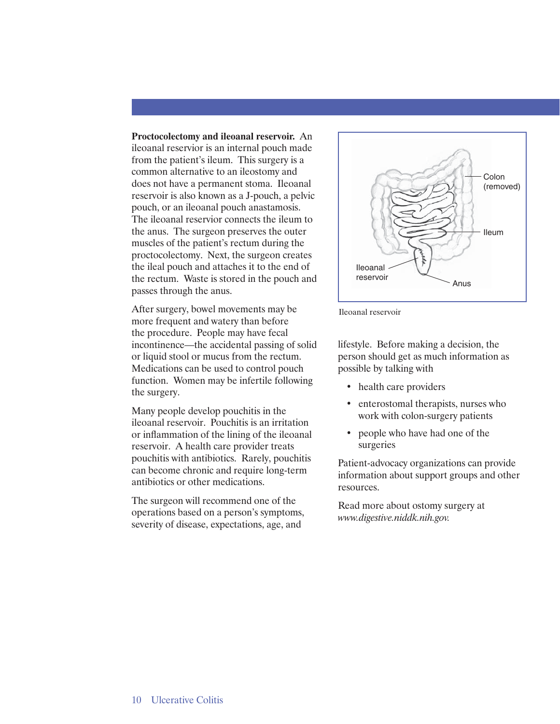**Proctocolectomy and ileoanal reservoir.** An ileoanal reservior is an internal pouch made from the patient's ileum. This surgery is a common alternative to an ileostomy and does not have a permanent stoma. Ileoanal reservoir is also known as a J-pouch, a pelvic pouch, or an ileoanal pouch anastamosis. The ileoanal reservior connects the ileum to the anus. The surgeon preserves the outer muscles of the patient's rectum during the proctocolectomy. Next, the surgeon creates the ileal pouch and attaches it to the end of the rectum. Waste is stored in the pouch and passes through the anus.

After surgery, bowel movements may be more frequent and watery than before the procedure. People may have fecal incontinence—the accidental passing of solid or liquid stool or mucus from the rectum. Medications can be used to control pouch function. Women may be infertile following the surgery.

Many people develop pouchitis in the ileoanal reservoir. Pouchitis is an irritation or inflammation of the lining of the ileoanal reservoir. A health care provider treats pouchitis with antibiotics. Rarely, pouchitis can become chronic and require long-term antibiotics or other medications.

The surgeon will recommend one of the operations based on a person's symptoms, severity of disease, expectations, age, and



Ileoanal reservoir

lifestyle. Before making a decision, the person should get as much information as possible by talking with

- health care providers
- enterostomal therapists, nurses who work with colon-surgery patients
- people who have had one of the surgeries

Patient-advocacy organizations can provide information about support groups and other resources.

Read more about ostomy surgery at *www.digestive.niddk.nih.gov.*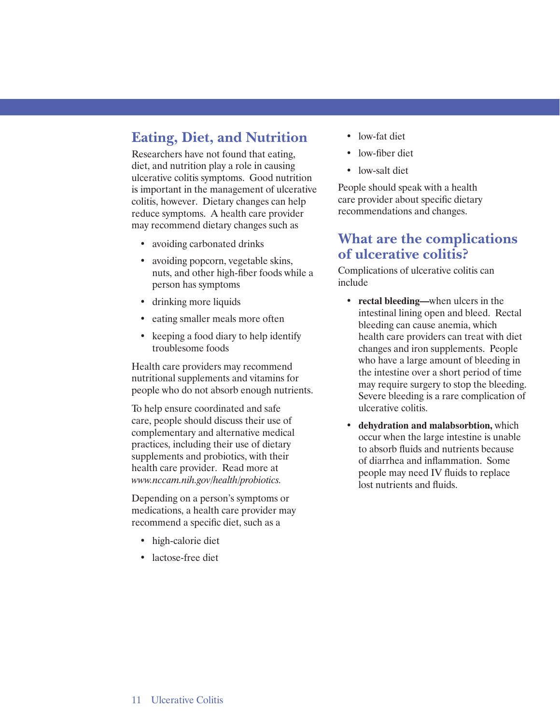# **Eating, Diet, and Nutrition**

Researchers have not found that eating, diet, and nutrition play a role in causing ulcerative colitis symptoms. Good nutrition is important in the management of ulcerative colitis, however. Dietary changes can help reduce symptoms. A health care provider may recommend dietary changes such as

- avoiding carbonated drinks
- avoiding popcorn, vegetable skins, nuts, and other high-fiber foods while a person has symptoms
- drinking more liquids
- eating smaller meals more often
- keeping a food diary to help identify troublesome foods

Health care providers may recommend nutritional supplements and vitamins for people who do not absorb enough nutrients.

To help ensure coordinated and safe care, people should discuss their use of complementary and alternative medical practices, including their use of dietary supplements and probiotics, with their health care provider. Read more at *www.nccam.nih.gov/health/probiotics.*

Depending on a person's symptoms or medications, a health care provider may recommend a specific diet, such as a

- high-calorie diet
- lactose-free diet
- low-fat diet
- $\bullet$  low-fiber diet
- low-salt diet

People should speak with a health care provider about specific dietary recommendations and changes.

## **What are the complications of ulcerative colitis?**

Complications of ulcerative colitis can include

- **rectal bleeding—when ulcers in the** intestinal lining open and bleed. Rectal bleeding can cause anemia, which health care providers can treat with diet changes and iron supplements. People who have a large amount of bleeding in the intestine over a short period of time may require surgery to stop the bleeding. Severe bleeding is a rare complication of ulcerative colitis.
- t **dehydration and malabsorbtion,** which occur when the large intestine is unable to absorb fluids and nutrients because of diarrhea and inflammation. Some people may need IV fluids to replace lost nutrients and fluids.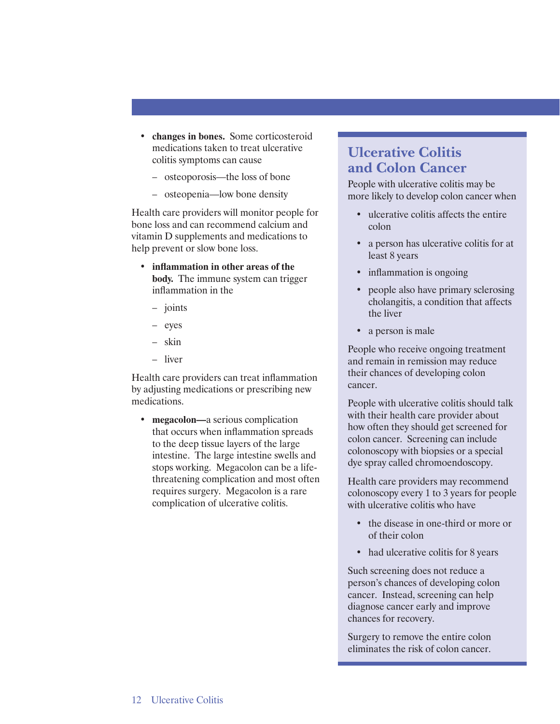- changes in bones. Some corticosteroid medications taken to treat ulcerative colitis symptoms can cause
	- osteoporosis—the loss of bone
	- osteopenia—low bone density

Health care providers will monitor people for bone loss and can recommend calcium and vitamin D supplements and medications to help prevent or slow bone loss.

- **•** inflammation in other areas of the **body.** The immune system can trigger inflammation in the
	- joints
	- eyes
	- skin
	- liver

Health care providers can treat inflammation by adjusting medications or prescribing new medications.

• **megacolon—**a serious complication that occurs when inflammation spreads to the deep tissue layers of the large intestine. The large intestine swells and stops working. Megacolon can be a lifethreatening complication and most often requires surgery. Megacolon is a rare complication of ulcerative colitis.

# **Ulcerative Colitis and Colon Cancer**

People with ulcerative colitis may be more likely to develop colon cancer when

- ulcerative colitis affects the entire colon
- a person has ulcerative colitis for at least 8 years
- inflammation is ongoing
- people also have primary sclerosing cholangitis, a condition that affects the liver
- $\bullet$  a person is male

People who receive ongoing treatment and remain in remission may reduce their chances of developing colon cancer.

People with ulcerative colitis should talk with their health care provider about how often they should get screened for colon cancer. Screening can include colonoscopy with biopsies or a special dye spray called chromoendoscopy.

Health care providers may recommend colonoscopy every 1 to 3 years for people with ulcerative colitis who have

- the disease in one-third or more or of their colon
- had ulcerative colitis for 8 years

Such screening does not reduce a person's chances of developing colon cancer. Instead, screening can help diagnose cancer early and improve chances for recovery.

Surgery to remove the entire colon eliminates the risk of colon cancer.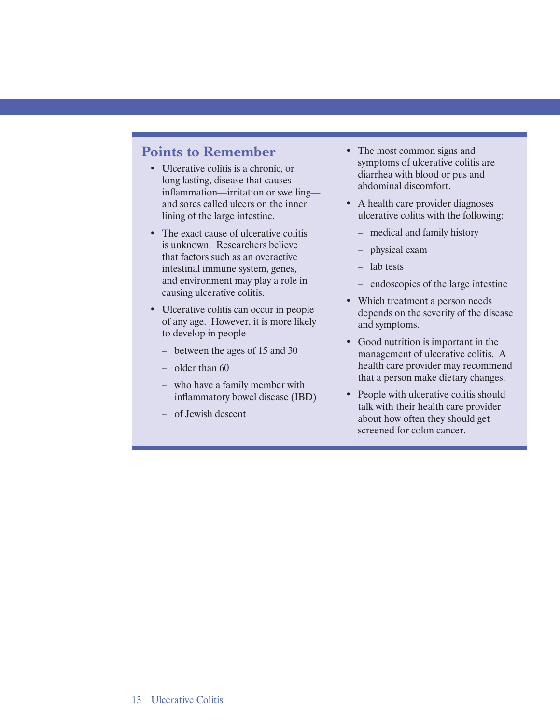## **Points to Remember**

- Ulcerative colitis is a chronic, or long lasting, disease that causes inflammation—irritation or swelling and sores called ulcers on the inner lining of the large intestine.
- The exact cause of ulcerative colitis is unknown. Researchers believe that factors such as an overactive intestinal immune system, genes, and environment may play a role in causing ulcerative colitis.
- Ulcerative colitis can occur in people of any age. However, it is more likely to develop in people
	- between the ages of 15 and 30
	- older than 60
	- who have a family member with inflammatory bowel disease (IBD)
	- of Jewish descent
- The most common signs and symptoms of ulcerative colitis are diarrhea with blood or pus and abdominal discomfort.
- A health care provider diagnoses ulcerative colitis with the following:
	- medical and family history
	- physical exam
	- lab tests
	- endoscopies of the large intestine
- Which treatment a person needs depends on the severity of the disease and symptoms.
- Good nutrition is important in the management of ulcerative colitis. A health care provider may recommend that a person make dietary changes.
- People with ulcerative colitis should talk with their health care provider about how often they should get screened for colon cancer.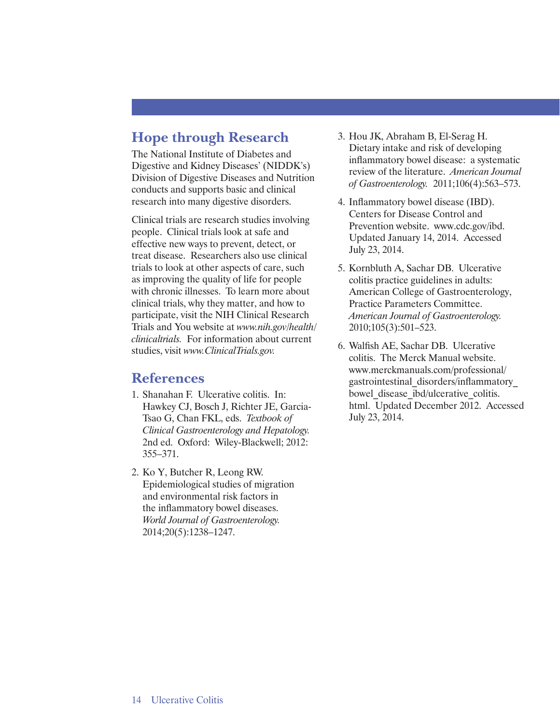## **Hope through Research**

The National Institute of Diabetes and Digestive and Kidney Diseases' (NIDDK's) Division of Digestive Diseases and Nutrition conducts and supports basic and clinical research into many digestive disorders.

Clinical trials are research studies involving people. Clinical trials look at safe and effective new ways to prevent, detect, or treat disease. Researchers also use clinical trials to look at other aspects of care, such as improving the quality of life for people with chronic illnesses. To learn more about clinical trials, why they matter, and how to participate, visit the NIH Clinical Research Trials and You website at *www.nih.gov/health/ clinicaltrials.* For information about current studies, visit *www.ClinicalTrials.gov.*

## **References**

- 1. Shanahan F. Ulcerative colitis. In: Hawkey CJ, Bosch J, Richter JE, Garcia-Tsao G, Chan FKL, eds. *Textbook of Clinical Gastroenterology and Hepatology.*  2nd ed. Oxford: Wiley-Blackwell; 2012: 355–371.
- 2. Ko Y, Butcher R, Leong RW. Epidemiological studies of migration and environmental risk factors in the inflammatory bowel diseases. *World Journal of Gastroenterology.* 2014;20(5):1238–1247.
- 3. Hou JK, Abraham B, El-Serag H. Dietary intake and risk of developing inflammatory bowel disease: a systematic review of the literature. *American Journal of Gastroenterology.* 2011;106(4):563–573.
- 4. Inflammatory bowel disease (IBD). Centers for Disease Control and Prevention website. www.cdc.gov/ibd. Updated January 14, 2014. Accessed July 23, 2014.
- 5. Kornbluth A, Sachar DB. Ulcerative colitis practice guidelines in adults: American College of Gastroenterology, Practice Parameters Committee. *American Journal of Gastroenterology.* 2010;105(3):501–523.
- 6. Walfish AE, Sachar DB. Ulcerative colitis. The Merck Manual website. www.merckmanuals.com/professional/ gastrointestinal\_disorders/inflammatory\_ bowel disease ibd/ulcerative colitis. html. Updated December 2012. Accessed July 23, 2014.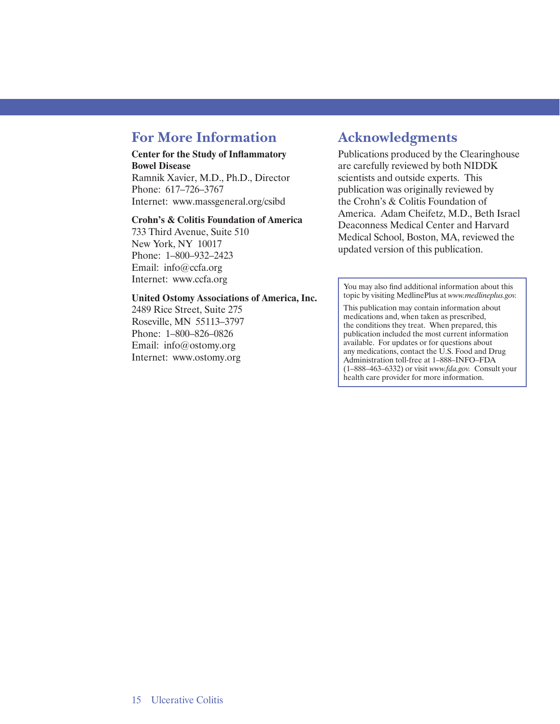# **For More Information**

#### **Center for the Study of Inflammatory Bowel Disease**  Ramnik Xavier, M.D., Ph.D., Director Phone: 617–726–3767 Internet: www.massgeneral.org/csibd

#### **Crohn's & Colitis Foundation of America**

733 Third Avenue, Suite 510 New York, NY 10017 Phone: 1–800–932–2423 Email: info@ccfa.org Internet: www.ccfa.org

#### **United Ostomy Associations of America, Inc.**

2489 Rice Street, Suite 275 Roseville, MN 55113–3797 Phone: 1–800–826–0826 Email: info@ostomy.org Internet: www.ostomy.org

## **Acknowledgments**

Publications produced by the Clearinghouse are carefully reviewed by both NIDDK scientists and outside experts. This publication was originally reviewed by the Crohn's & Colitis Foundation of America. Adam Cheifetz, M.D., Beth Israel Deaconness Medical Center and Harvard Medical School, Boston, MA, reviewed the updated version of this publication.

You may also find additional information about this topic by visiting MedlinePlus at *www.medlineplus.gov.*

This publication may contain information about medications and, when taken as prescribed, the conditions they treat. When prepared, this publication included the most current information available. For updates or for questions about any medications, contact the U.S. Food and Drug Administration toll-free at 1–888–INFO–FDA (1–888–463–6332) or visit *www.fda.gov.* Consult your health care provider for more information.